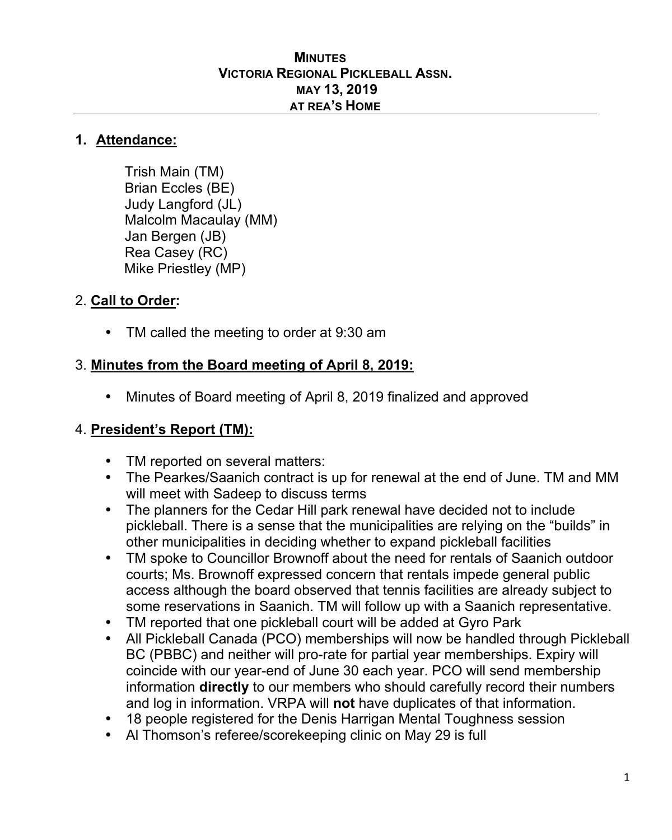#### **MINUTES VICTORIA REGIONAL PICKLEBALL ASSN. MAY 13, 2019 AT REA'S HOME**

#### **1. Attendance:**

Trish Main (TM) Brian Eccles (BE) Judy Langford (JL) Malcolm Macaulay (MM) Jan Bergen (JB) Rea Casey (RC) Mike Priestley (MP)

#### 2. **Call to Order:**

TM called the meeting to order at 9:30 am

## 3. **Minutes from the Board meeting of April 8, 2019:**

• Minutes of Board meeting of April 8, 2019 finalized and approved

## 4. **President's Report (TM):**

- TM reported on several matters:
- The Pearkes/Saanich contract is up for renewal at the end of June. TM and MM will meet with Sadeep to discuss terms
- The planners for the Cedar Hill park renewal have decided not to include pickleball. There is a sense that the municipalities are relying on the "builds" in other municipalities in deciding whether to expand pickleball facilities
- TM spoke to Councillor Brownoff about the need for rentals of Saanich outdoor courts; Ms. Brownoff expressed concern that rentals impede general public access although the board observed that tennis facilities are already subject to some reservations in Saanich. TM will follow up with a Saanich representative.
- TM reported that one pickleball court will be added at Gyro Park
- All Pickleball Canada (PCO) memberships will now be handled through Pickleball BC (PBBC) and neither will pro-rate for partial year memberships. Expiry will coincide with our year-end of June 30 each year. PCO will send membership information **directly** to our members who should carefully record their numbers and log in information. VRPA will **not** have duplicates of that information.
- 18 people registered for the Denis Harrigan Mental Toughness session
- Al Thomson's referee/scorekeeping clinic on May 29 is full